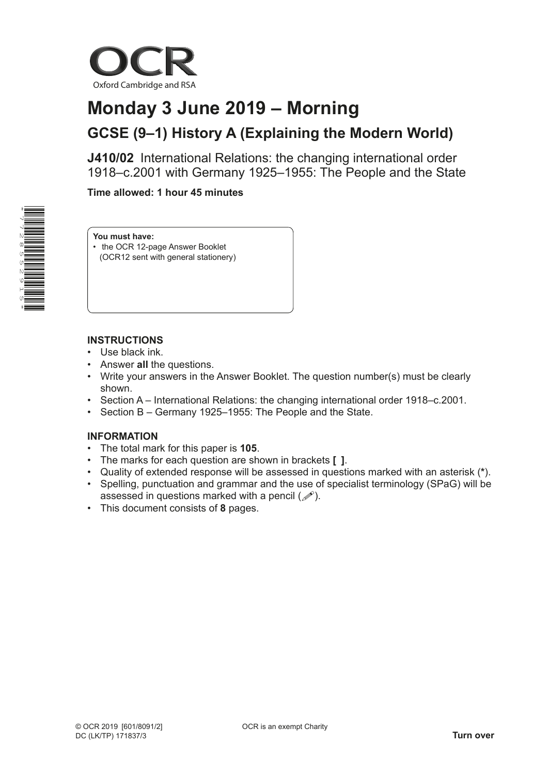

# **Monday 3 June 2019 – Morning**

## **GCSE (9–1) History A (Explaining the Modern World)**

**J410/02** International Relations: the changing international order 1918–c.2001 with Germany 1925–1955: The People and the State

**Time allowed: 1 hour 45 minutes**

### **You must have:**

- the OCR 12-page Answer Booklet
- (OCR12 sent with general stationery)

#### **INSTRUCTIONS**

- Use black ink.
- Answer **all** the questions.
- Write your answers in the Answer Booklet. The question number(s) must be clearly shown.
- Section A International Relations: the changing international order 1918–c.2001.
- Section B Germany 1925–1955: The People and the State.

#### **INFORMATION**

- The total mark for this paper is **105**.
- The marks for each question are shown in brackets **[ ]**.
- Quality of extended response will be assessed in questions marked with an asterisk (**\***).
- Spelling, punctuation and grammar and the use of specialist terminology (SPaG) will be assessed in questions marked with a pencil  $(\mathcal{P})$ .
- This document consists of **8** pages.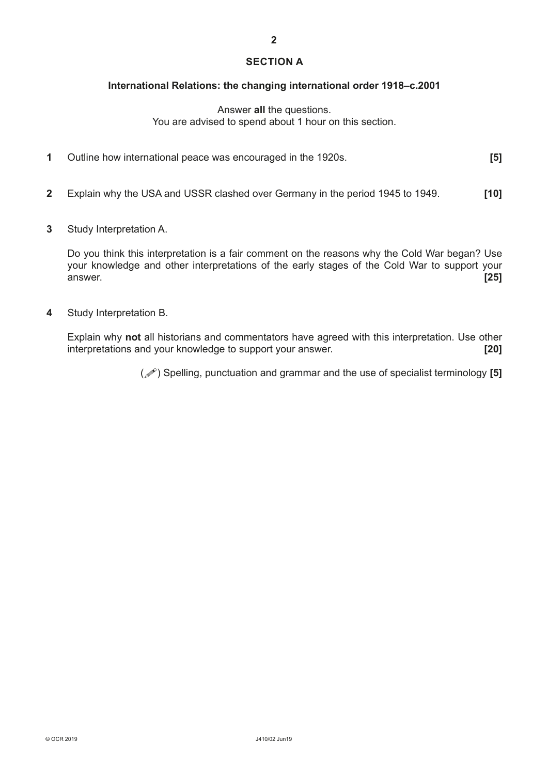#### **SECTION A**

#### **International Relations: the changing international order 1918–c.2001**

Answer **all** the questions. You are advised to spend about 1 hour on this section.

- **1** Outline how international peace was encouraged in the 1920s. **[5]**
- **2** Explain why the USA and USSR clashed over Germany in the period 1945 to 1949. **[10]**
- **3** Study Interpretation A.

Do you think this interpretation is a fair comment on the reasons why the Cold War began? Use your knowledge and other interpretations of the early stages of the Cold War to support your<br>[25] answer. **[25]**

**4** Study Interpretation B.

Explain why **not** all historians and commentators have agreed with this interpretation. Use other interpretations and your knowledge to support your answer. **[20]**

( $\mathscr{D}$ ) Spelling, punctuation and grammar and the use of specialist terminology [5]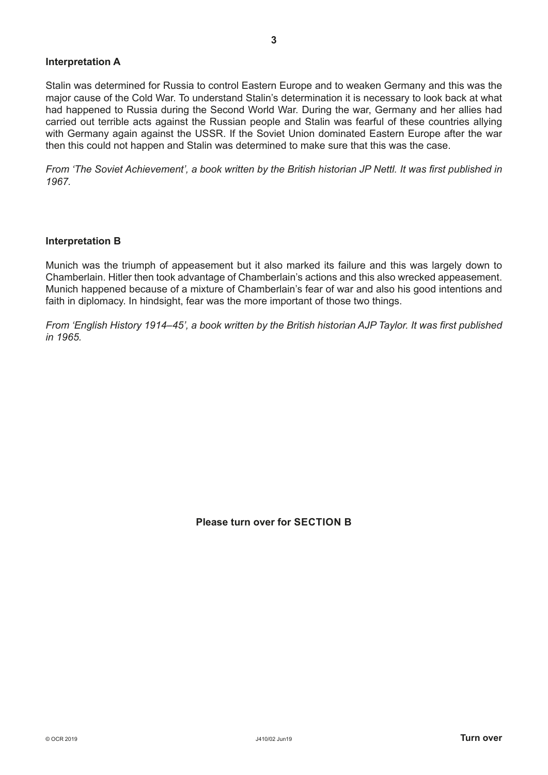Stalin was determined for Russia to control Eastern Europe and to weaken Germany and this was the major cause of the Cold War. To understand Stalin's determination it is necessary to look back at what had happened to Russia during the Second World War. During the war, Germany and her allies had carried out terrible acts against the Russian people and Stalin was fearful of these countries allying with Germany again against the USSR. If the Soviet Union dominated Eastern Europe after the war then this could not happen and Stalin was determined to make sure that this was the case.

*From 'The Soviet Achievement', a book written by the British historian JP Nettl. It was first published in 1967.*

#### **Interpretation B**

Munich was the triumph of appeasement but it also marked its failure and this was largely down to Chamberlain. Hitler then took advantage of Chamberlain's actions and this also wrecked appeasement. Munich happened because of a mixture of Chamberlain's fear of war and also his good intentions and faith in diplomacy. In hindsight, fear was the more important of those two things.

*From 'English History 1914–45', a book written by the British historian AJP Taylor. It was first published in 1965.*

**Please turn over for SECTION B**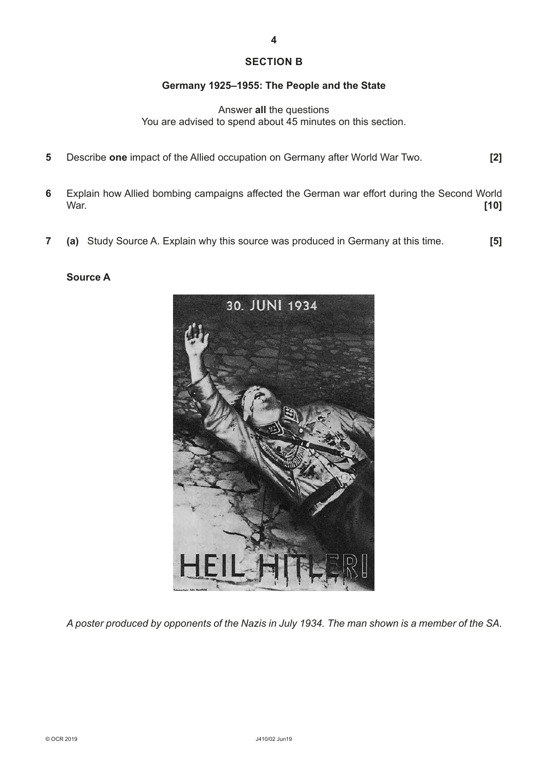#### **SECTION B**

#### **Germany 1925–1955: The People and the State**

Answer **all** the questions You are advised to spend about 45 minutes on this section.

- **5** Describe **one** impact of the Allied occupation on Germany after World War Two. **[2]**
- **6** Explain how Allied bombing campaigns affected the German war effort during the Second World War. **[10]**
- **7 (a)** Study Source A. Explain why this source was produced in Germany at this time. **[5]**

#### **Source A**



*A poster produced by opponents of the Nazis in July 1934. The man shown is a member of the SA.*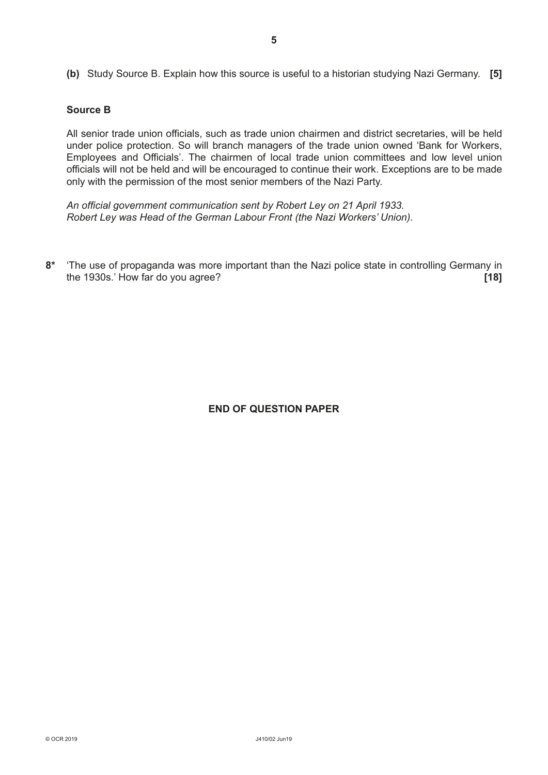#### **Source B**

All senior trade union officials, such as trade union chairmen and district secretaries, will be held under police protection. So will branch managers of the trade union owned 'Bank for Workers, Employees and Officials'. The chairmen of local trade union committees and low level union officials will not be held and will be encouraged to continue their work. Exceptions are to be made only with the permission of the most senior members of the Nazi Party.

*An official government communication sent by Robert Ley on 21 April 1933. Robert Ley was Head of the German Labour Front (the Nazi Workers' Union).*

**8\*** 'The use of propaganda was more important than the Nazi police state in controlling Germany in the 1930s.' How far do you agree? **[18]**

#### **END OF QUESTION PAPER**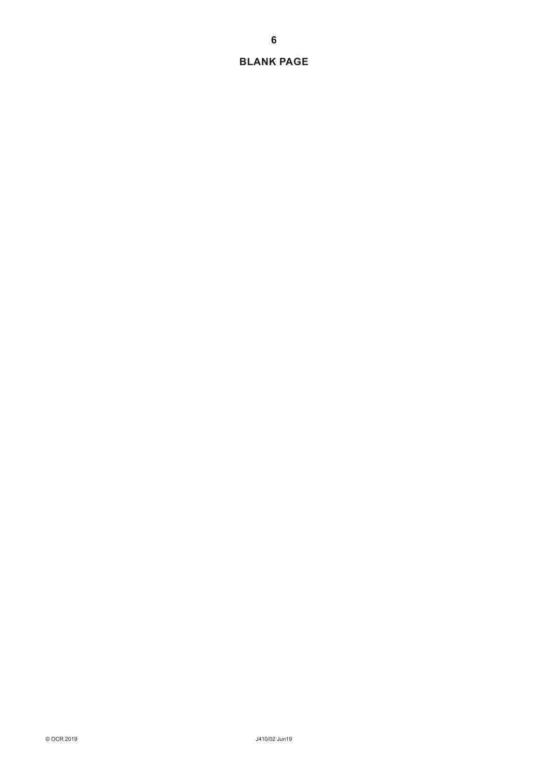#### **BLANK PAGE**

**6**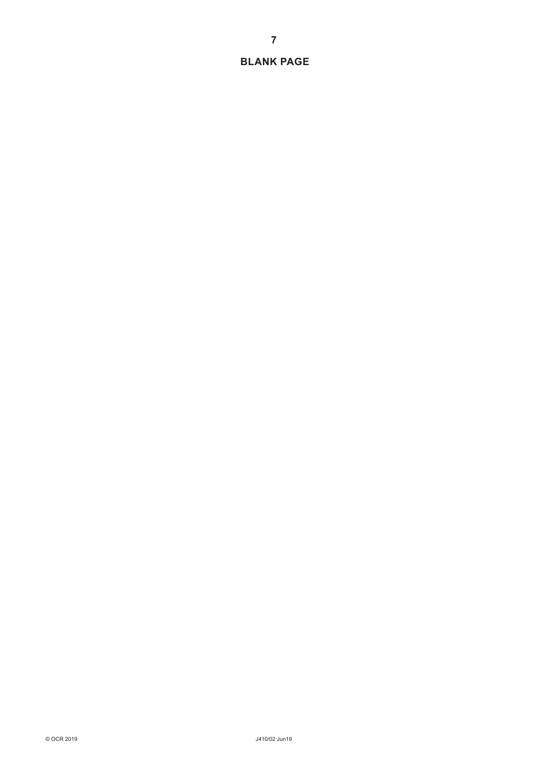#### **BLANK PAGE**

**7**